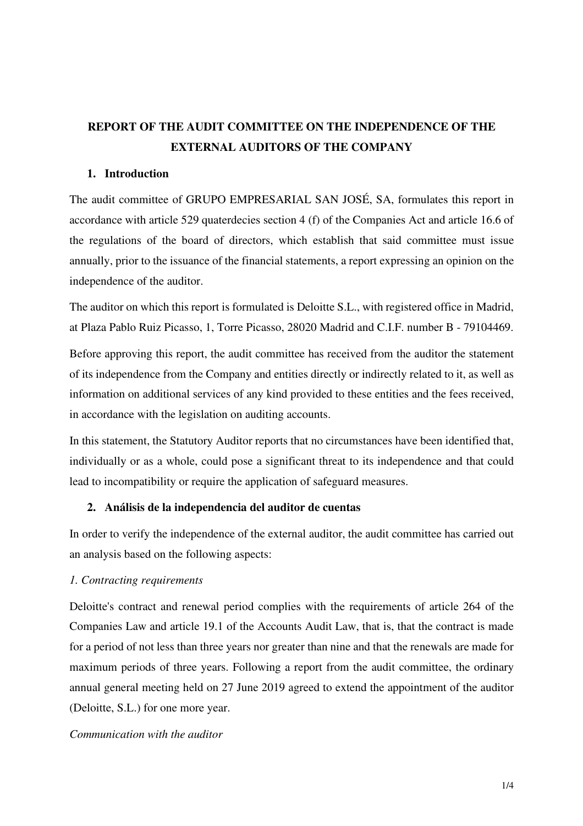## **REPORT OF THE AUDIT COMMITTEE ON THE INDEPENDENCE OF THE EXTERNAL AUDITORS OF THE COMPANY**

## **1. Introduction**

The audit committee of GRUPO EMPRESARIAL SAN JOSÉ, SA, formulates this report in accordance with article 529 quaterdecies section 4 (f) of the Companies Act and article 16.6 of the regulations of the board of directors, which establish that said committee must issue annually, prior to the issuance of the financial statements, a report expressing an opinion on the independence of the auditor.

The auditor on which this report is formulated is Deloitte S.L., with registered office in Madrid, at Plaza Pablo Ruiz Picasso, 1, Torre Picasso, 28020 Madrid and C.I.F. number B - 79104469.

Before approving this report, the audit committee has received from the auditor the statement of its independence from the Company and entities directly or indirectly related to it, as well as information on additional services of any kind provided to these entities and the fees received, in accordance with the legislation on auditing accounts.

In this statement, the Statutory Auditor reports that no circumstances have been identified that, individually or as a whole, could pose a significant threat to its independence and that could lead to incompatibility or require the application of safeguard measures.

## **2. Análisis de la independencia del auditor de cuentas**

In order to verify the independence of the external auditor, the audit committee has carried out an analysis based on the following aspects:

## *1. Contracting requirements*

Deloitte's contract and renewal period complies with the requirements of article 264 of the Companies Law and article 19.1 of the Accounts Audit Law, that is, that the contract is made for a period of not less than three years nor greater than nine and that the renewals are made for maximum periods of three years. Following a report from the audit committee, the ordinary annual general meeting held on 27 June 2019 agreed to extend the appointment of the auditor (Deloitte, S.L.) for one more year.

## *Communication with the auditor*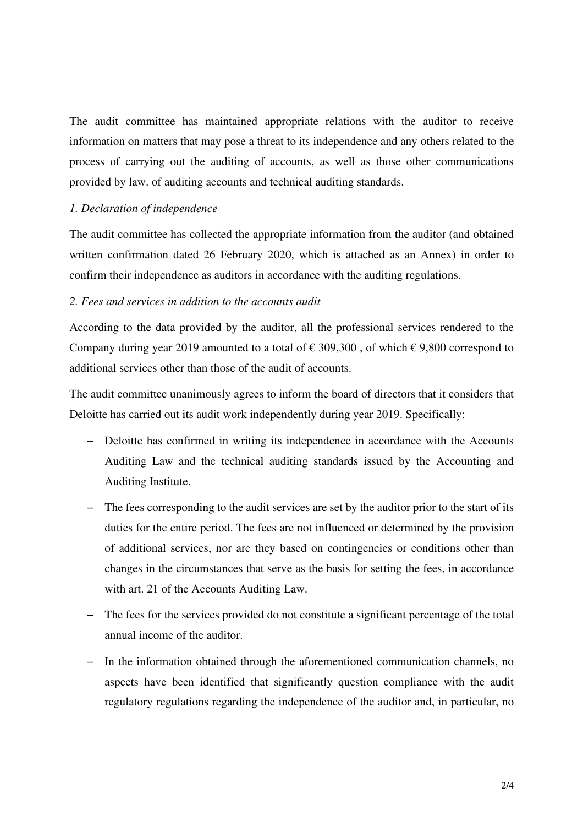The audit committee has maintained appropriate relations with the auditor to receive information on matters that may pose a threat to its independence and any others related to the process of carrying out the auditing of accounts, as well as those other communications provided by law. of auditing accounts and technical auditing standards.

### *1. Declaration of independence*

The audit committee has collected the appropriate information from the auditor (and obtained written confirmation dated 26 February 2020, which is attached as an Annex) in order to confirm their independence as auditors in accordance with the auditing regulations.

## *2. Fees and services in addition to the accounts audit*

According to the data provided by the auditor, all the professional services rendered to the Company during year 2019 amounted to a total of  $\epsilon$  309,300, of which  $\epsilon$  9,800 correspond to additional services other than those of the audit of accounts.

The audit committee unanimously agrees to inform the board of directors that it considers that Deloitte has carried out its audit work independently during year 2019. Specifically:

- − Deloitte has confirmed in writing its independence in accordance with the Accounts Auditing Law and the technical auditing standards issued by the Accounting and Auditing Institute.
- − The fees corresponding to the audit services are set by the auditor prior to the start of its duties for the entire period. The fees are not influenced or determined by the provision of additional services, nor are they based on contingencies or conditions other than changes in the circumstances that serve as the basis for setting the fees, in accordance with art. 21 of the Accounts Auditing Law.
- − The fees for the services provided do not constitute a significant percentage of the total annual income of the auditor.
- − In the information obtained through the aforementioned communication channels, no aspects have been identified that significantly question compliance with the audit regulatory regulations regarding the independence of the auditor and, in particular, no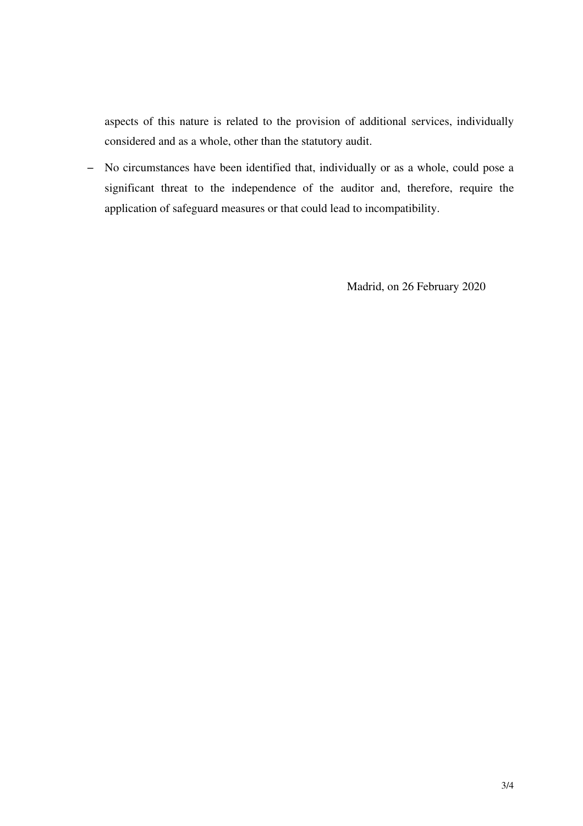aspects of this nature is related to the provision of additional services, individually considered and as a whole, other than the statutory audit.

− No circumstances have been identified that, individually or as a whole, could pose a significant threat to the independence of the auditor and, therefore, require the application of safeguard measures or that could lead to incompatibility.

Madrid, on 26 February 2020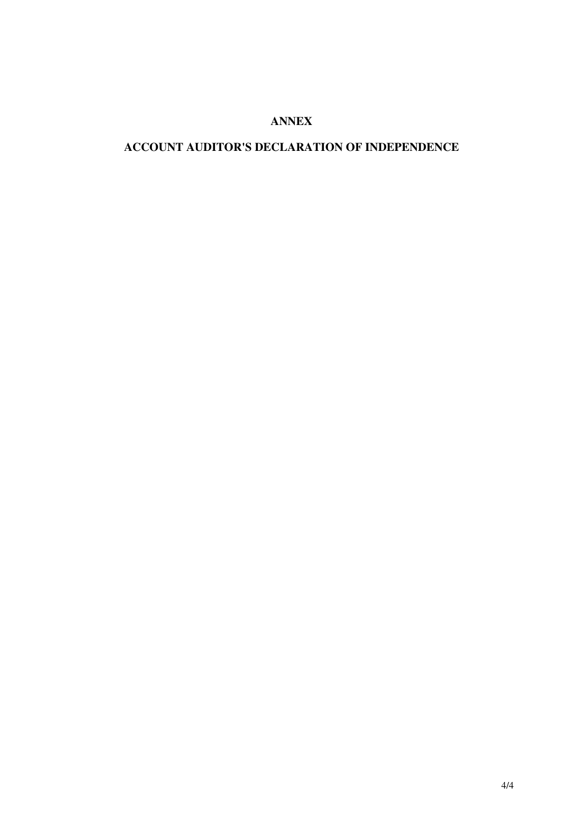## **ANNEX**

## **ACCOUNT AUDITOR'S DECLARATION OF INDEPENDENCE**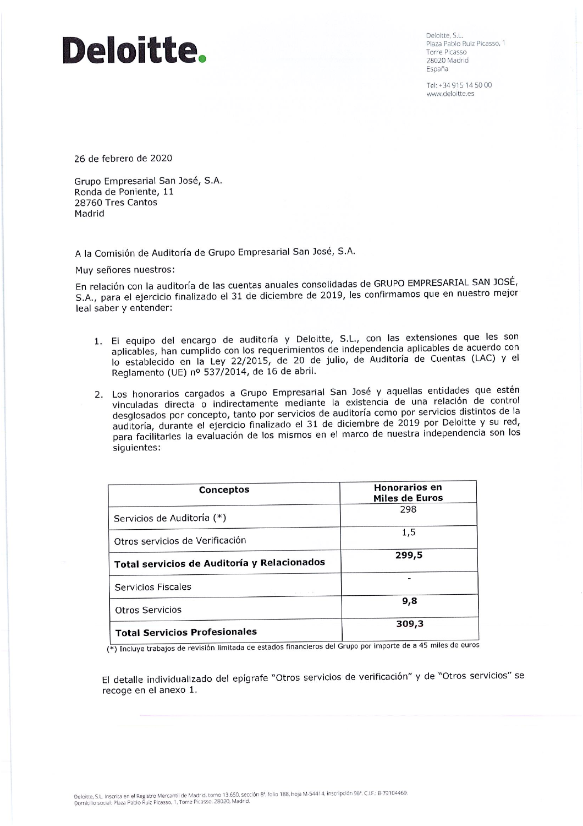# Deloitte.

Deloitte, S.L. Plaza Pablo Ruiz Picasso, 1 Torre Picasso 28020 Madrid España

Tel: +34 915 14 50 00 www.deloitte.es

26 de febrero de 2020

Grupo Empresarial San José, S.A. Ronda de Poniente, 11 28760 Tres Cantos Madrid

A la Comisión de Auditoría de Grupo Empresarial San José, S.A.

Muy señores nuestros:

En relación con la auditoría de las cuentas anuales consolidadas de GRUPO EMPRESARIAL SAN JOSÉ, S.A., para el ejercicio finalizado el 31 de diciembre de 2019, les confirmamos que en nuestro mejor leal saber y entender:

- 1. El equipo del encargo de auditoría y Deloitte, S.L., con las extensiones que les son aplicables, han cumplido con los requerimientos de independencia aplicables de acuerdo con lo establecido en la Ley 22/2015, de 20 de julio, de Auditoría de Cuentas (LAC) y el Reglamento (UE) nº 537/2014, de 16 de abril.
- 2. Los honorarios cargados a Grupo Empresarial San José y aquellas entidades que estén vinculadas directa o indirectamente mediante la existencia de una relación de control desglosados por concepto, tanto por servicios de auditoría como por servicios distintos de la auditoría, durante el ejercicio finalizado el 31 de diciembre de 2019 por Deloitte y su red, para facilitarles la evaluación de los mismos en el marco de nuestra independencia son los siguientes:

| Conceptos                                   | <b>Honorarios en</b><br><b>Miles de Euros</b> |
|---------------------------------------------|-----------------------------------------------|
| Servicios de Auditoría (*)                  | 298                                           |
| Otros servicios de Verificación             | 1,5                                           |
| Total servicios de Auditoría y Relacionados | 299,5                                         |
| Servicios Fiscales<br>VOID OF A             |                                               |
| <b>Otros Servicios</b>                      | 9,8                                           |
| <b>Total Servicios Profesionales</b>        | 309,3                                         |

(\*) Incluye trabajos de revisión limitada de estados financieros del Grupo por importe de a 45 miles de euros

El detalle individualizado del epígrafe "Otros servicios de verificación" y de "Otros servicios" se recoge en el anexo 1.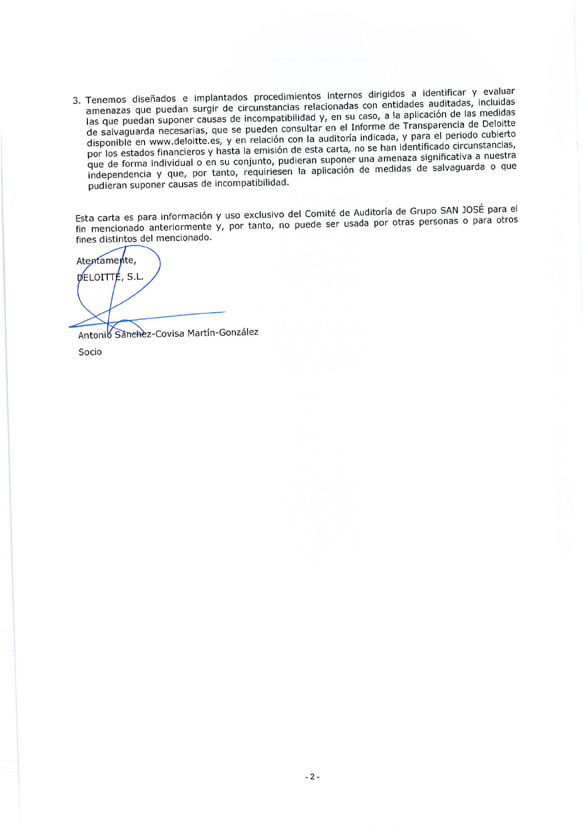3. Tenemos diseñados e implantados procedimientos internos dirigidos a identificar y evaluar amenazas que puedan surgir de circunstancias relacionadas con entidades auditadas, incluidas las que puedan suponer causas de incompatibilidad y, en su caso, a la aplicación de las medidas de salvaguarda necesarias, que se pueden consultar en el Informe de Transparencia de Deloitte disponible en www.deloitte.es, y en relación con la auditoría indicada, y para el periodo cubierto por los estados financieros y hasta la emisión de esta carta, no se han identificado circunstancias, que de forma individual o en su conjunto, pudieran suponer una amenaza significativa a nuestra independencia y que, por tanto, requiriesen la aplicación de medidas de salvaguarda o que pudieran suponer causas de incompatibilidad.

Esta carta es para información y uso exclusivo del Comité de Auditoría de Grupo SAN JOSÉ para el fin mencionado anteriormente y, por tanto, no puede ser usada por otras personas o para otros fines distintos del mencionado.

Atentamente,  $D$ ELOITTÉ, S.L.

Antonio Sanchez-Covisa Martín-González Socio